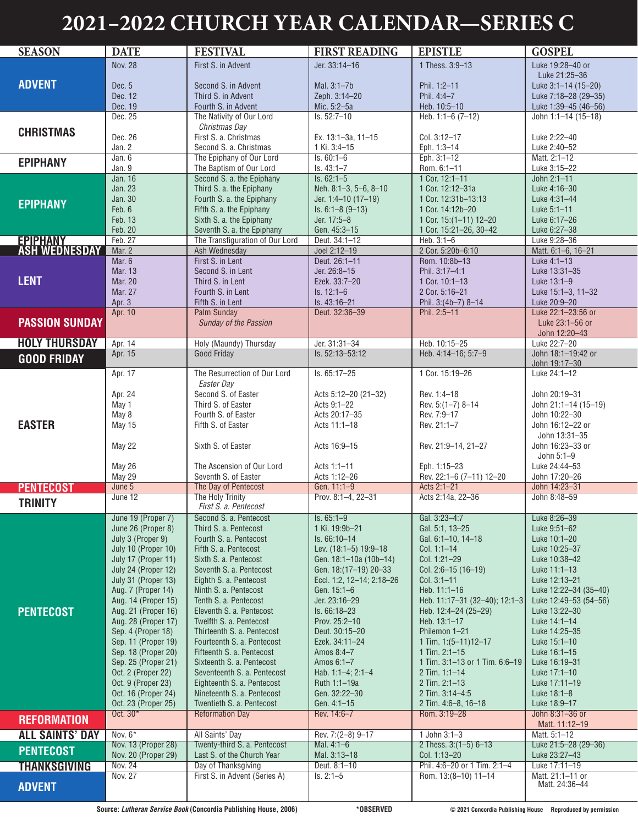## **2021–2022 CHURCH YEAR CALENDAR—SERIES C**

| <b>SEASON</b>          | <b>DATE</b>                                | <b>FESTIVAL</b>                                            | <b>FIRST READING</b>                     | <b>EPISTLE</b>                          | <b>GOSPEL</b>                         |
|------------------------|--------------------------------------------|------------------------------------------------------------|------------------------------------------|-----------------------------------------|---------------------------------------|
|                        | <b>Nov. 28</b>                             | First S. in Advent                                         | Jer. 33:14-16                            | 1 Thess. 3:9-13                         | Luke 19:28-40 or                      |
|                        |                                            |                                                            |                                          |                                         | Luke 21:25-36                         |
| <b>ADVENT</b>          | Dec. 5                                     | Second S. in Advent                                        | Mal. 3:1-7b                              | Phil. 1:2-11                            | Luke 3:1-14 (15-20)                   |
|                        | Dec. 12                                    | Third S. in Advent                                         | Zeph. 3:14-20                            | Phil. 4:4-7                             | Luke 7:18-28 (29-35)                  |
|                        | Dec. 19                                    | Fourth S. in Advent                                        | Mic. 5:2-5a                              | Heb. 10:5-10                            | Luke 1:39-45 (46-56)                  |
|                        | Dec. 25                                    | The Nativity of Our Lord                                   | Is. 52:7-10                              | Heb. $1:1-6(7-12)$                      | John 1:1-14 (15-18)                   |
| <b>CHRISTMAS</b>       |                                            | Christmas Day                                              |                                          |                                         |                                       |
|                        | Dec. 26                                    | First S. a. Christmas                                      | Ex. 13:1-3a, 11-15                       | Col. 3:12-17                            | Luke 2:22-40                          |
|                        | Jan. 2                                     | Second S. a. Christmas                                     | 1 Ki. 3:4-15                             | Eph. 1:3-14                             | Luke 2:40-52                          |
| <b>EPIPHANY</b>        | Jan. 6                                     | The Epiphany of Our Lord                                   | $Is. 60:1-6$                             | Eph. 3:1-12                             | Matt. 2:1-12                          |
|                        | Jan. 9                                     | The Baptism of Our Lord                                    | $Is. 43:1 - 7$                           | Rom. 6:1-11                             | Luke 3:15-22                          |
|                        | Jan. 16                                    | Second S. a. the Epiphany                                  | $Is. 62:1-5$                             | 1 Cor. 12:1-11                          | John 2:1-11                           |
|                        | <b>Jan. 23</b>                             | Third S. a. the Epiphany                                   | Neh. 8:1-3, 5-6, 8-10                    | 1 Cor. 12:12-31a                        | Luke 4:16-30                          |
| <b>EPIPHANY</b>        | <b>Jan. 30</b><br>Feb. 6                   | Fourth S. a. the Epiphany<br>Fifth S. a. the Epiphany      | Jer. 1:4-10 (17-19)<br>$Is. 6:1-8(9-13)$ | 1 Cor. 12:31b-13:13<br>1 Cor. 14:12b-20 | Luke 4:31-44<br>Luke $5:1 - 11$       |
|                        | Feb. 13                                    | Sixth S. a. the Epiphany                                   | Jer. 17:5-8                              | 1 Cor. 15:(1-11) 12-20                  | Luke 6:17-26                          |
|                        | Feb. 20                                    | Seventh S. a. the Epiphany                                 | Gen. 45:3-15                             | 1 Cor. 15:21-26, 30-42                  | Luke 6:27-38                          |
| <b>EPIPHANY</b>        | Feb. 27                                    | The Transfiguration of Our Lord                            | Deut. 34:1-12                            | Heb. 3:1-6                              | Luke 9:28-36                          |
| <b>ASH WEDNESDAY</b>   | Mar. 2                                     | Ash Wednesday                                              | Joel 2:12-19                             | 2 Cor. 5:20b-6:10                       | Matt. 6:1-6, 16-21                    |
|                        | Mar. 6                                     | First S. in Lent                                           | Deut. 26:1-11                            | Rom. 10:8b-13                           | Luke 4:1-13                           |
|                        | <b>Mar. 13</b>                             | Second S. in Lent                                          | Jer. 26:8-15                             | Phil. 3:17-4:1                          | Luke 13:31-35                         |
| <b>LENT</b>            | <b>Mar. 20</b>                             | Third S. in Lent                                           | Ezek. 33:7-20                            | 1 Cor. 10:1-13                          | Luke 13:1-9                           |
|                        | Mar. 27                                    | Fourth S. in Lent                                          | $Is. 12:1-6$                             | 2 Cor. 5:16-21                          | Luke 15:1-3, 11-32                    |
|                        | Apr. 3                                     | Fifth S. in Lent                                           | Is. 43:16-21                             | Phil. 3:(4b-7) 8-14                     | Luke 20:9-20                          |
|                        | Apr. 10                                    | Palm Sunday                                                | Deut. 32:36-39                           | Phil. 2:5-11                            | Luke 22:1-23:56 or                    |
| <b>PASSION SUNDAY</b>  |                                            | Sunday of the Passion                                      |                                          |                                         | Luke 23:1-56 or                       |
|                        |                                            |                                                            |                                          |                                         | John 12:20-43                         |
| <b>HOLY THURSDAY</b>   | Apr. 14                                    | Holy (Maundy) Thursday                                     | Jer. 31:31-34                            | Heb. 10:15-25                           | Luke 22:7-20                          |
| <b>GOOD FRIDAY</b>     | Apr. 15                                    | <b>Good Friday</b>                                         | Is. 52:13-53:12                          | Heb. 4:14-16; 5:7-9                     | John 18:1-19:42 or                    |
|                        | Apr. 17                                    | The Resurrection of Our Lord                               | Is. 65:17-25                             | 1 Cor. 15:19-26                         | John 19:17-30<br>Luke 24:1-12         |
|                        |                                            | Easter Day                                                 |                                          |                                         |                                       |
|                        | Apr. 24                                    | Second S. of Easter                                        | Acts 5:12-20 (21-32)                     | Rev. 1:4-18                             | John 20:19-31                         |
|                        | May 1                                      | Third S. of Easter                                         | Acts 9:1-22                              | Rev. 5: (1-7) 8-14                      | John 21:1-14 (15-19)                  |
|                        | May 8                                      | Fourth S. of Easter                                        | Acts 20:17-35                            | Rev. 7:9-17                             | John 10:22-30                         |
| <b>EASTER</b>          | May 15                                     | Fifth S. of Easter                                         | Acts 11:1-18                             | Rev. 21:1-7                             | John 16:12-22 or                      |
|                        |                                            |                                                            |                                          |                                         | John 13:31-35                         |
|                        | May 22                                     | Sixth S. of Easter                                         | Acts 16:9-15                             | Rev. 21:9-14, 21-27                     | John 16:23-33 or                      |
|                        |                                            |                                                            |                                          |                                         | John 5:1-9                            |
|                        | May 26                                     | The Ascension of Our Lord                                  | Acts 1:1-11                              | Eph. 1:15-23                            | Luke 24:44-53                         |
|                        | May 29                                     | Seventh S. of Easter                                       | Acts 1:12-26                             | Rev. 22:1-6 (7-11) 12-20                | John 17:20-26                         |
| <b>PENTECOST</b>       | June 5                                     | The Day of Pentecost                                       | Gen. 11:1-9                              | Acts 2:1-21                             | John 14:23-31                         |
| <b>TRINITY</b>         | June 12                                    | The Holy Trinity<br>First S. a. Pentecost                  | Prov. 8:1-4, 22-31                       | Acts 2:14a, 22-36                       | John 8:48-59                          |
|                        | June 19 (Proper 7)                         | Second S. a. Pentecost                                     | $Is. 65:1-9$                             | Gal. 3:23-4:7                           | Luke 8:26-39                          |
|                        | June 26 (Proper 8)                         | Third S. a. Pentecost                                      | 1 Ki. 19:9b-21                           | Gal. 5:1, 13-25                         | Luke 9:51-62                          |
|                        | July 3 (Proper 9)                          | Fourth S. a. Pentecost                                     | Is. 66:10-14                             | Gal. 6:1-10, 14-18                      | Luke 10:1-20                          |
|                        | July 10 (Proper 10)                        | Fifth S. a. Pentecost                                      | Lev. (18:1-5) 19:9-18                    | Col. 1:1-14                             | Luke 10:25–37                         |
|                        | July 17 (Proper 11)                        | Sixth S. a. Pentecost                                      | Gen. 18:1-10a (10b-14)                   | Col. 1:21-29                            | Luke 10:38-42                         |
|                        | July 24 (Proper 12)                        | Seventh S. a. Pentecost                                    | Gen. 18: (17-19) 20-33                   | Col. 2:6-15 (16-19)                     | Luke 11:1-13                          |
|                        | July 31 (Proper 13)                        | Eighth S. a. Pentecost                                     | Eccl. 1:2, 12-14; 2:18-26                | $Col. 3:1-11$                           | Luke 12:13-21                         |
|                        | Aug. 7 (Proper 14)                         | Ninth S. a. Pentecost                                      | Gen. 15:1-6                              | Heb. 11:1-16                            | Luke 12:22-34 (35-40)                 |
|                        | Aug. 14 (Proper 15)                        | Tenth S. a. Pentecost                                      | Jer. 23:16-29                            | Heb. 11:17-31 (32-40); 12:1-3           | Luke 12:49-53 (54-56)                 |
| <b>PENTECOST</b>       | Aug. 21 (Proper 16)                        | Eleventh S. a. Pentecost                                   | $Is. 66:18-23$                           | Heb. 12:4–24 (25–29)                    | Luke 13:22-30                         |
|                        | Aug. 28 (Proper 17)                        | Twelfth S. a. Pentecost                                    | Prov. 25:2-10                            | Heb. 13:1-17<br>Philemon 1-21           | Luke 14:1-14                          |
|                        | Sep. 4 (Proper 18)<br>Sep. 11 (Proper 19)  | Thirteenth S. a. Pentecost<br>Fourteenth S. a. Pentecost   | Deut. 30:15-20<br>Ezek. 34:11-24         | 1 Tim. $1:(5-11)12-17$                  | Luke 14:25-35<br>Luke 15:1-10         |
|                        | Sep. 18 (Proper 20)                        | Fifteenth S. a. Pentecost                                  | Amos 8:4-7                               | 1 Tim. $2:1-15$                         | Luke 16:1-15                          |
|                        | Sep. 25 (Proper 21)                        | Sixteenth S. a. Pentecost                                  | Amos 6:1-7                               | 1 Tim. 3:1-13 or 1 Tim. 6:6-19          | Luke 16:19-31                         |
|                        | Oct. 2 (Proper 22)                         | Seventeenth S. a. Pentecost                                | Hab. 1:1-4; 2:1-4                        | 2 Tim. 1:1-14                           | Luke 17:1-10                          |
|                        | Oct. 9 (Proper 23)                         | Eighteenth S. a. Pentecost                                 | Ruth 1:1-19a                             | 2 Tim. 2:1-13                           | Luke 17:11-19                         |
|                        | Oct. 16 (Proper 24)                        | Nineteenth S. a. Pentecost                                 | Gen. 32:22-30                            | 2 Tim. 3:14-4:5                         | Luke 18:1-8                           |
|                        | Oct. 23 (Proper 25)                        | Twentieth S. a. Pentecost                                  | Gen. 4:1-15                              | 2 Tim. 4:6-8, 16-18                     | Luke 18:9-17                          |
| <b>REFORMATION</b>     | Oct. 30*                                   | <b>Reformation Day</b>                                     | Rev. 14:6-7                              | Rom. 3:19-28                            | John 8:31-36 or                       |
|                        |                                            |                                                            |                                          |                                         | Matt. 11:12-19                        |
| <b>ALL SAINTS' DAY</b> | Nov. $6*$                                  | All Saints' Day                                            | Rev. 7:(2-8) 9-17                        | 1 John $3:1-3$                          | Matt. 5:1-12                          |
| <b>PENTECOST</b>       | Nov. 13 (Proper 28)<br>Nov. 20 (Proper 29) | Twenty-third S. a. Pentecost<br>Last S. of the Church Year | Mal. 4:1-6<br>Mal. 3:13-18               | 2 Thess. $3:(1-5)$ 6-13<br>Col. 1:13-20 | Luke 21:5-28 (29-36)<br>Luke 23:27-43 |
| <b>THANKSGIVING</b>    | <b>Nov. 24</b>                             | Day of Thanksgiving                                        | Deut. 8:1-10                             | Phil. 4:6-20 or 1 Tim. 2:1-4            | Luke 17:11-19                         |
|                        | <b>Nov. 27</b>                             | First S. in Advent (Series A)                              | $Is. 2:1-5$                              | Rom. 13: (8-10) 11-14                   | Matt. 21:1-11 or                      |
| <b>ADVENT</b>          |                                            |                                                            |                                          |                                         | Matt. 24:36-44                        |
|                        |                                            |                                                            |                                          |                                         |                                       |

L

T)